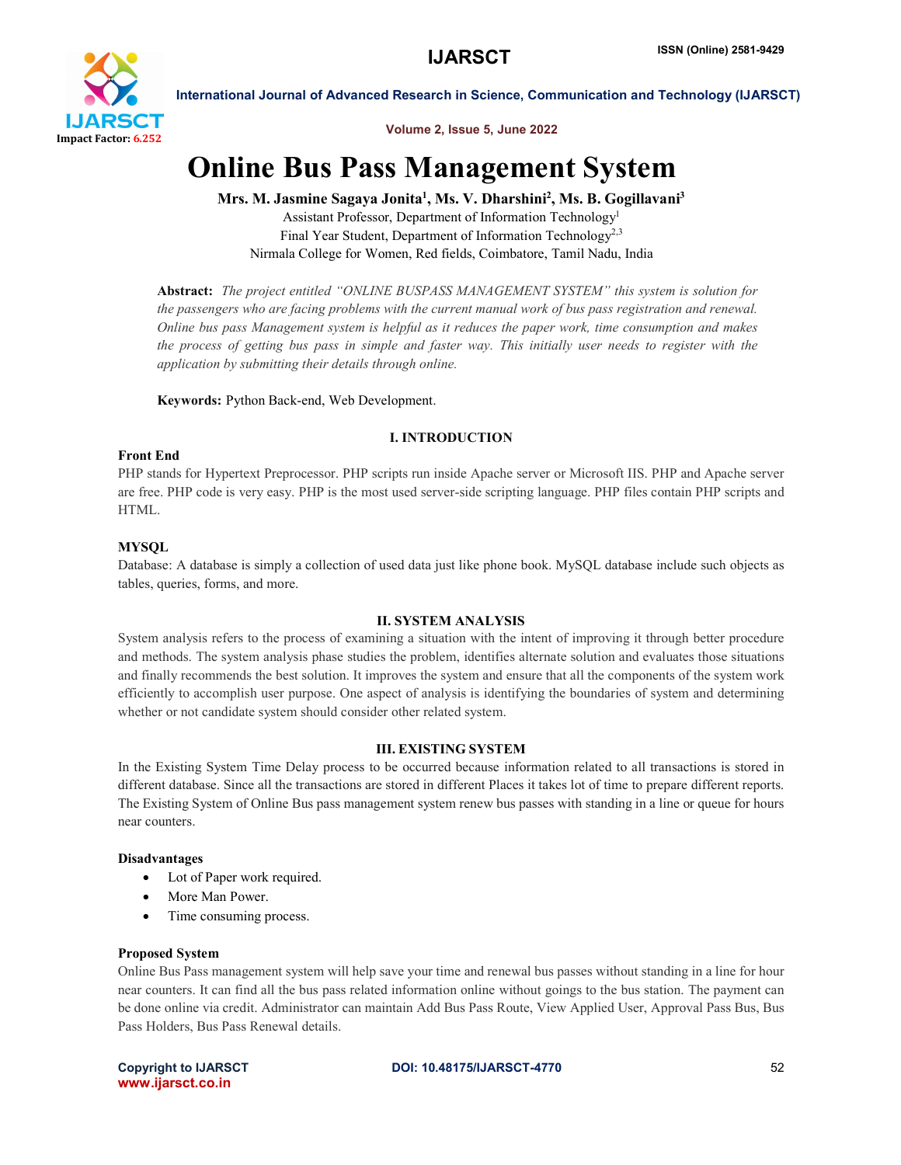

International Journal of Advanced Research in Science, Communication and Technology (IJARSCT)

## Volume 2, Issue 5, June 2022

# Online Bus Pass Management System

### Mrs. M. Jasmine Sagaya Jonita<sup>1</sup>, Ms. V. Dharshini<sup>2</sup>, Ms. B. Gogillavani<sup>3</sup>

Assistant Professor, Department of Information Technology1 Final Year Student, Department of Information Technology<sup>2,3</sup> Nirmala College for Women, Red fields, Coimbatore, Tamil Nadu, India

Abstract: *The project entitled "ONLINE BUSPASS MANAGEMENT SYSTEM" this system is solution for the passengers who are facing problems with the current manual work of bus pass registration and renewal. Online bus pass Management system is helpful as it reduces the paper work, time consumption and makes the process of getting bus pass in simple and faster way. This initially user needs to register with the application by submitting their details through online.*

Keywords: Python Back-end, Web Development.

#### I. INTRODUCTION

#### Front End

PHP stands for Hypertext Preprocessor. PHP scripts run inside Apache server or Microsoft IIS. PHP and Apache server are free. PHP code is very easy. PHP is the most used server-side scripting language. PHP files contain PHP scripts and HTML.

#### **MYSOL**

Database: A database is simply a collection of used data just like phone book. MySQL database include such objects as tables, queries, forms, and more.

#### II. SYSTEM ANALYSIS

System analysis refers to the process of examining a situation with the intent of improving it through better procedure and methods. The system analysis phase studies the problem, identifies alternate solution and evaluates those situations and finally recommends the best solution. It improves the system and ensure that all the components of the system work efficiently to accomplish user purpose. One aspect of analysis is identifying the boundaries of system and determining whether or not candidate system should consider other related system.

#### III. EXISTING SYSTEM

In the Existing System Time Delay process to be occurred because information related to all transactions is stored in different database. Since all the transactions are stored in different Places it takes lot of time to prepare different reports. The Existing System of Online Bus pass management system renew bus passes with standing in a line or queue for hours near counters.

#### Disadvantages

- Lot of Paper work required.
- More Man Power.
- Time consuming process.

#### Proposed System

Online Bus Pass management system will help save your time and renewal bus passes without standing in a line for hour near counters. It can find all the bus pass related information online without goings to the bus station. The payment can be done online via credit. Administrator can maintain Add Bus Pass Route, View Applied User, Approval Pass Bus, Bus Pass Holders, Bus Pass Renewal details.

www.ijarsct.co.in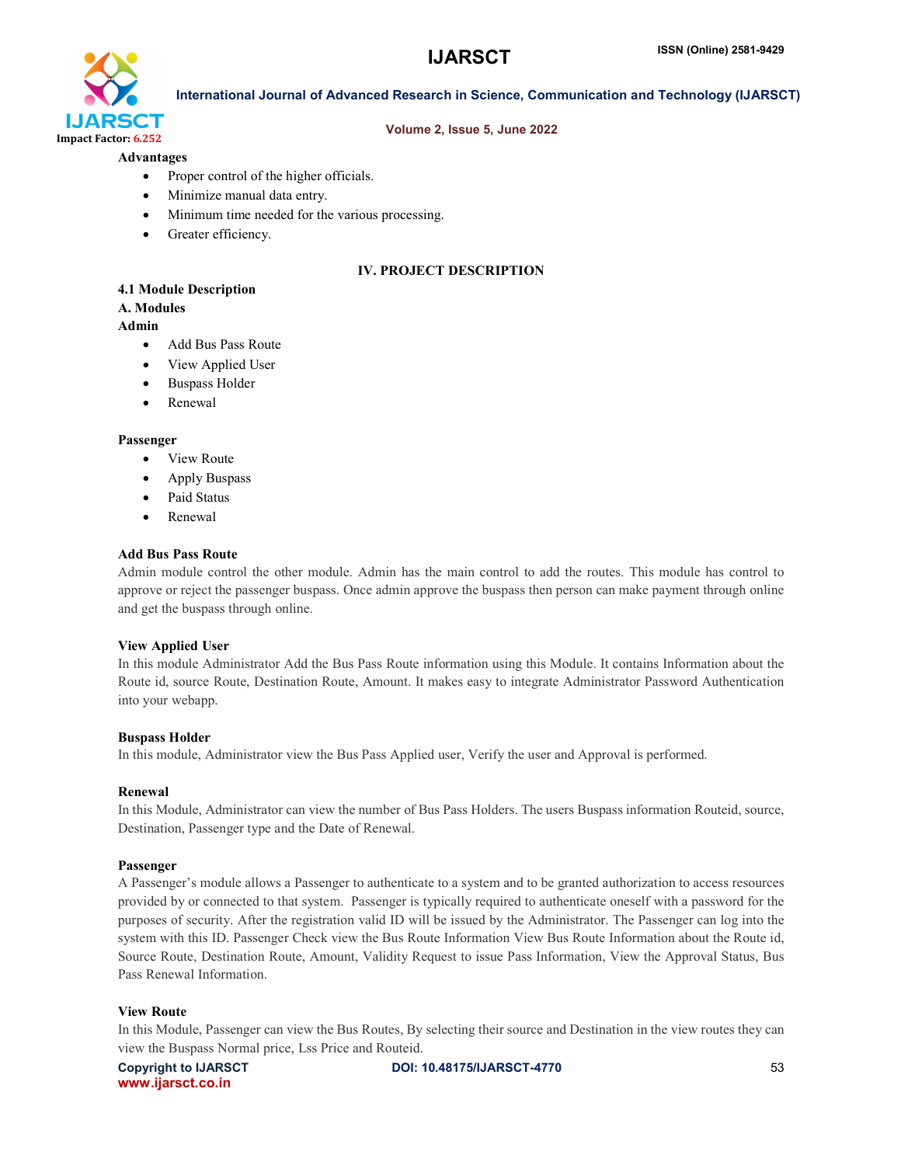

#### International Journal of Advanced Research in Science, Communication and Technology (IJARSCT)

#### Volume 2, Issue 5, June 2022

#### Advantages

- Proper control of the higher officials.
- Minimize manual data entry.
- Minimum time needed for the various processing.
- Greater efficiency.

#### IV. PROJECT DESCRIPTION

#### 4.1 Module Description

#### A. Modules

#### Admin

- Add Bus Pass Route
- View Applied User
- Buspass Holder
- Renewal

#### Passenger

- View Route
- Apply Buspass
- Paid Status
- Renewal

#### Add Bus Pass Route

Admin module control the other module. Admin has the main control to add the routes. This module has control to approve or reject the passenger buspass. Once admin approve the buspass then person can make payment through online and get the buspass through online.

#### View Applied User

In this module Administrator Add the Bus Pass Route information using this Module. It contains Information about the Route id, source Route, Destination Route, Amount. It makes easy to integrate Administrator Password Authentication into your webapp.

#### Buspass Holder

In this module, Administrator view the Bus Pass Applied user, Verify the user and Approval is performed.

#### Renewal

In this Module, Administrator can view the number of Bus Pass Holders. The users Buspass information Routeid, source, Destination, Passenger type and the Date of Renewal.

#### Passenger

A Passenger's module allows a Passenger to authenticate to a system and to be granted authorization to access resources provided by or connected to that system. Passenger is typically required to authenticate oneself with a password for the purposes of security. After the registration valid ID will be issued by the Administrator. The Passenger can log into the system with this ID. Passenger Check view the Bus Route Information View Bus Route Information about the Route id, Source Route, Destination Route, Amount, Validity Request to issue Pass Information, View the Approval Status, Bus Pass Renewal Information.

#### View Route

In this Module, Passenger can view the Bus Routes, By selecting their source and Destination in the view routes they can view the Buspass Normal price, Lss Price and Routeid.

www.ijarsct.co.in

Copyright to IJARSCT **DOI: 10.48175/IJARSCT-4770** 53